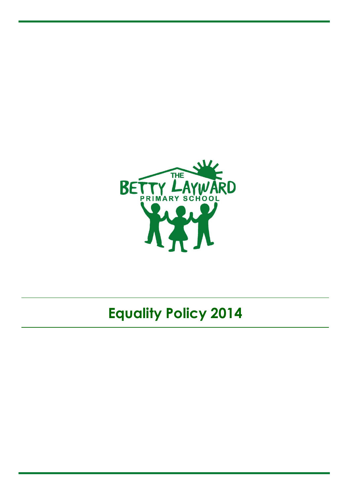

# **Equality Policy 2014**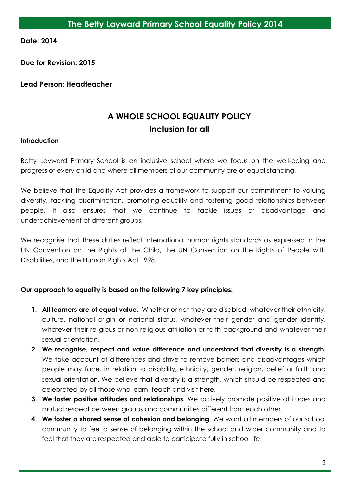**Date: 2014**

**Due for Revision: 2015**

## **Lead Person: Headteacher**

## **A WHOLE SCHOOL EQUALITY POLICY Inclusion for all**

#### **Introduction**

Betty Layward Primary School is an inclusive school where we focus on the well-being and progress of every child and where all members of our community are of equal standing.

We believe that the Equality Act provides a framework to support our commitment to valuing diversity, tackling discrimination, promoting equality and fostering good relationships between people. It also ensures that we continue to tackle issues of disadvantage and underachievement of different groups.

We recognise that these duties reflect international human rights standards as expressed in the UN Convention on the Rights of the Child, the UN Convention on the Rights of People with Disabilities, and the Human Rights Act 1998.

## **Our approach to equality is based on the following 7 key principles:**

- **1. All learners are of equal value**. Whether or not they are disabled, whatever their ethnicity, culture, national origin or national status, whatever their gender and gender identity, whatever their religious or non-religious affiliation or faith background and whatever their sexual orientation.
- **2. We recognise, respect and value difference and understand that diversity is a strength.**  We take account of differences and strive to remove barriers and disadvantages which people may face, in relation to disability, ethnicity, gender, religion, belief or faith and sexual orientation. We believe that diversity is a strength, which should be respected and celebrated by all those who learn, teach and visit here.
- **3. We foster positive attitudes and relationships.** We actively promote positive attitudes and mutual respect between groups and communities different from each other.
- **4. We foster a shared sense of cohesion and belonging.** We want all members of our school community to feel a sense of belonging within the school and wider community and to feel that they are respected and able to participate fully in school life.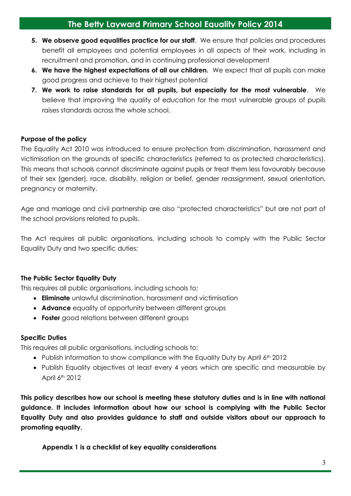- **5. We observe good equalities practice for our staff**. We ensure that policies and procedures benefit all employees and potential employees in all aspects of their work, including in recruitment and promotion, and in continuing professional development
- **6. We have the highest expectations of all our children.** We expect that all pupils can make good progress and achieve to their highest potential
- **7. We work to raise standards for all pupils, but especially for the most vulnerable**. We believe that improving the quality of education for the most vulnerable groups of pupils raises standards across the whole school.

#### **Purpose of the policy**

The Equality Act 2010 was introduced to ensure protection from discrimination, harassment and victimisation on the grounds of specific characteristics (referred to as protected characteristics). This means that schools cannot discriminate against pupils or treat them less favourably because of their sex (gender), race, disability, religion or belief, gender reassignment, sexual orientation, pregnancy or maternity.

Age and marriage and civil partnership are also "protected characteristics" but are not part of the school provisions related to pupils.

The Act requires all public organisations, including schools to comply with the Public Sector Equality Duty and two specific duties;

## **The Public Sector Equality Duty**

This requires all public organisations, including schools to;

- **Eliminate** unlawful discrimination, harassment and victimisation
- **Advance** equality of opportunity between different groups
- **Foster** good relations between different groups

#### **Specific Duties**

This requires all public organisations, including schools to;

- Publish information to show compliance with the Equality Duty by April 6<sup>th</sup> 2012
- Publish Equality objectives at least every 4 years which are specific and measurable by April 6th 2012

**This policy describes how our school is meeting these statutory duties and is in line with national guidance. It includes information about how our school is complying with the Public Sector Equality Duty and also provides guidance to staff and outside visitors about our approach to promoting equality.**

**Appendix 1 is a checklist of key equality considerations**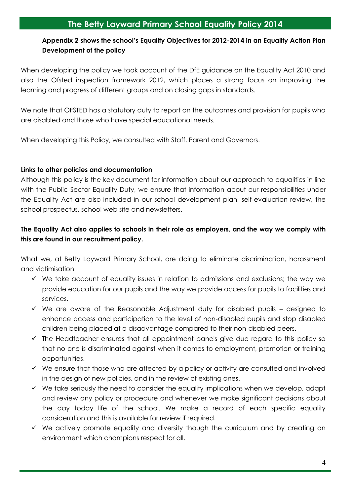## **Appendix 2 shows the school's Equality Objectives for 2012-2014 in an Equality Action Plan Development of the policy**

When developing the policy we took account of the DfE guidance on the Equality Act 2010 and also the Ofsted inspection framework 2012, which places a strong focus on improving the learning and progress of different groups and on closing gaps in standards.

We note that OFSTED has a statutory duty to report on the outcomes and provision for pupils who are disabled and those who have special educational needs.

When developing this Policy, we consulted with Staff, Parent and Governors.

#### **Links to other policies and documentation**

Although this policy is the key document for information about our approach to equalities in line with the Public Sector Equality Duty, we ensure that information about our responsibilities under the Equality Act are also included in our school development plan, self-evaluation review, the school prospectus, school web site and newsletters.

## **The Equality Act also applies to schools in their role as employers, and the way we comply with this are found in our recruitment policy.**

What we, at Betty Layward Primary School, are doing to eliminate discrimination, harassment and victimisation

- $\checkmark$  We take account of equality issues in relation to admissions and exclusions; the way we provide education for our pupils and the way we provide access for pupils to facilities and services.
- $\checkmark$  We are aware of the Reasonable Adjustment duty for disabled pupils designed to enhance access and participation to the level of non-disabled pupils and stop disabled children being placed at a disadvantage compared to their non-disabled peers.
- $\checkmark$  The Headteacher ensures that all appointment panels give due regard to this policy so that no one is discriminated against when it comes to employment, promotion or training opportunities.
- $\checkmark$  We ensure that those who are affected by a policy or activity are consulted and involved in the design of new policies, and in the review of existing ones.
- $\checkmark$  We take seriously the need to consider the equality implications when we develop, adapt and review any policy or procedure and whenever we make significant decisions about the day today life of the school. We make a record of each specific equality consideration and this is available for review if required.
- $\checkmark$  We actively promote equality and diversity though the curriculum and by creating an environment which champions respect for all.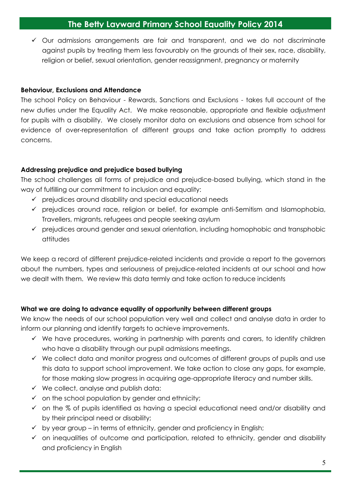Our admissions arrangements are fair and transparent, and we do not discriminate against pupils by treating them less favourably on the grounds of their sex, race, disability, religion or belief, sexual orientation, gender reassignment, pregnancy or maternity

#### **Behaviour, Exclusions and Attendance**

The school Policy on Behaviour - Rewards, Sanctions and Exclusions - takes full account of the new duties under the Equality Act. We make reasonable, appropriate and flexible adjustment for pupils with a disability. We closely monitor data on exclusions and absence from school for evidence of over-representation of different groups and take action promptly to address concerns.

## **Addressing prejudice and prejudice based bullying**

The school challenges all forms of prejudice and prejudice-based bullying, which stand in the way of fulfilling our commitment to inclusion and equality:

- $\checkmark$  prejudices around disability and special educational needs
- $\checkmark$  prejudices around race, religion or belief, for example anti-Semitism and Islamophobia, Travellers, migrants, refugees and people seeking asylum
- $\checkmark$  prejudices around gender and sexual orientation, including homophobic and transphobic attitudes

We keep a record of different prejudice-related incidents and provide a report to the governors about the numbers, types and seriousness of prejudice-related incidents at our school and how we dealt with them. We review this data termly and take action to reduce incidents

## **What we are doing to advance equality of opportunity between different groups**

We know the needs of our school population very well and collect and analyse data in order to inform our planning and identify targets to achieve improvements.

- $\checkmark$  We have procedures, working in partnership with parents and carers, to identify children who have a disability through our pupil admissions meetings.
- $\checkmark$  We collect data and monitor progress and outcomes of different groups of pupils and use this data to support school improvement. We take action to close any gaps, for example, for those making slow progress in acquiring age-appropriate literacy and number skills.
- $\checkmark$  We collect, analyse and publish data:
- $\checkmark$  on the school population by gender and ethnicity;
- $\checkmark$  on the % of pupils identified as having a special educational need and/or disability and by their principal need or disability;
- $\checkmark$  by year group in terms of ethnicity, gender and proficiency in English;
- $\checkmark$  on inequalities of outcome and participation, related to ethnicity, gender and disability and proficiency in English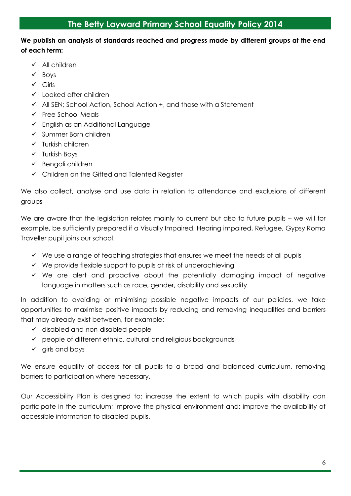## **We publish an analysis of standards reached and progress made by different groups at the end of each term:**

- $\checkmark$  All children
- $\checkmark$  Boys
- $\checkmark$  Girls
- $\checkmark$  Looked after children
- $\checkmark$  All SEN; School Action, School Action  $+$ , and those with a Statement
- $\checkmark$  Free School Meals
- $\checkmark$  English as an Additional Language
- $\checkmark$  Summer Born children
- $\checkmark$  Turkish children
- $\checkmark$  Turkish Boys
- $\checkmark$  Bengali children
- Children on the Gifted and Talented Register

We also collect, analyse and use data in relation to attendance and exclusions of different groups

We are aware that the legislation relates mainly to current but also to future pupils – we will for example, be sufficiently prepared if a Visually Impaired, Hearing impaired, Refugee, Gypsy Roma Traveller pupil joins our school.

- $\checkmark$  We use a range of teaching strategies that ensures we meet the needs of all pupils
- $\checkmark$  We provide flexible support to pupils at risk of underachieving
- $\checkmark$  We are alert and proactive about the potentially damaging impact of negative language in matters such as race, gender, disability and sexuality.

In addition to avoiding or minimising possible negative impacts of our policies, we take opportunities to maximise positive impacts by reducing and removing inequalities and barriers that may already exist between, for example:

- $\checkmark$  disabled and non-disabled people
- $\checkmark$  people of different ethnic, cultural and religious backgrounds
- $\checkmark$  girls and boys

We ensure equality of access for all pupils to a broad and balanced curriculum, removing barriers to participation where necessary.

Our Accessibility Plan is designed to: increase the extent to which pupils with disability can participate in the curriculum; improve the physical environment and; improve the availability of accessible information to disabled pupils.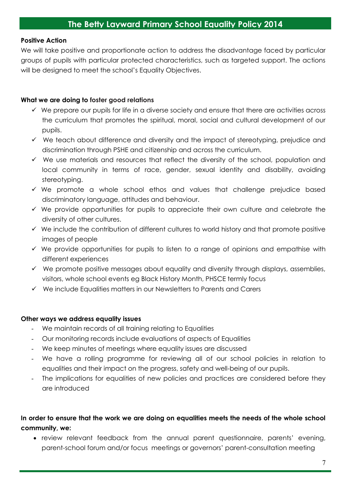#### **Positive Action**

We will take positive and proportionate action to address the disadvantage faced by particular groups of pupils with particular protected characteristics, such as targeted support. The actions will be designed to meet the school's Equality Objectives.

#### **What we are doing to foster good relations**

- $\checkmark$  We prepare our pupils for life in a diverse society and ensure that there are activities across the curriculum that promotes the spiritual, moral, social and cultural development of our pupils.
- $\checkmark$  We teach about difference and diversity and the impact of stereotyping, prejudice and discrimination through PSHE and citizenship and across the curriculum.
- $\checkmark$  We use materials and resources that reflect the diversity of the school, population and local community in terms of race, gender, sexual identity and disability, avoiding stereotyping.
- $\checkmark$  We promote a whole school ethos and values that challenge prejudice based discriminatory language, attitudes and behaviour.
- $\checkmark$  We provide opportunities for pupils to appreciate their own culture and celebrate the diversity of other cultures.
- $\checkmark$  We include the contribution of different cultures to world history and that promote positive images of people
- $\checkmark$  We provide opportunities for pupils to listen to a range of opinions and empathise with different experiences
- $\checkmark$  We promote positive messages about equality and diversity through displays, assemblies, visitors, whole school events eg Black History Month, PHSCE termly focus
- $\checkmark$  We include Equalities matters in our Newsletters to Parents and Carers

#### **Other ways we address equality issues**

- We maintain records of all training relating to Equalities
- Our monitoring records include evaluations of aspects of Equalities
- We keep minutes of meetings where equality issues are discussed
- We have a rolling programme for reviewing all of our school policies in relation to equalities and their impact on the progress, safety and well-being of our pupils.
- The implications for equalities of new policies and practices are considered before they are introduced

## **In order to ensure that the work we are doing on equalities meets the needs of the whole school community, we:**

 review relevant feedback from the annual parent questionnaire, parents' evening, parent-school forum and/or focus meetings or governors' parent-consultation meeting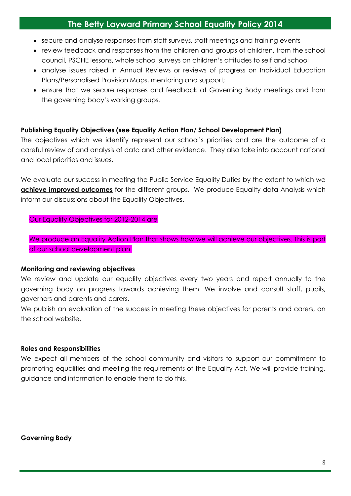- secure and analyse responses from staff surveys, staff meetings and training events
- review feedback and responses from the children and groups of children, from the school council, PSCHE lessons, whole school surveys on children's attitudes to self and school
- analyse issues raised in Annual Reviews or reviews of progress on Individual Education Plans/Personalised Provision Maps, mentoring and support;
- ensure that we secure responses and feedback at Governing Body meetings and from the governing body's working groups.

#### **Publishing Equality Objectives (see Equality Action Plan/ School Development Plan)**

The objectives which we identify represent our school's priorities and are the outcome of a careful review of and analysis of data and other evidence. They also take into account national and local priorities and issues.

We evaluate our success in meeting the Public Service Equality Duties by the extent to which we **achieve improved outcomes** for the different groups. We produce Equality data Analysis which inform our discussions about the Equality Objectives.

#### Our Equality Objectives for 2012-2014 are

We produce an Equality Action Plan that shows how we will achieve our objectives. This is part of our school development plan.

#### **Monitoring and reviewing objectives**

We review and update our equality objectives every two years and report annually to the governing body on progress towards achieving them. We involve and consult staff, pupils, governors and parents and carers.

We publish an evaluation of the success in meeting these objectives for parents and carers, on the school website.

#### **Roles and Responsibilities**

We expect all members of the school community and visitors to support our commitment to promoting equalities and meeting the requirements of the Equality Act. We will provide training, guidance and information to enable them to do this.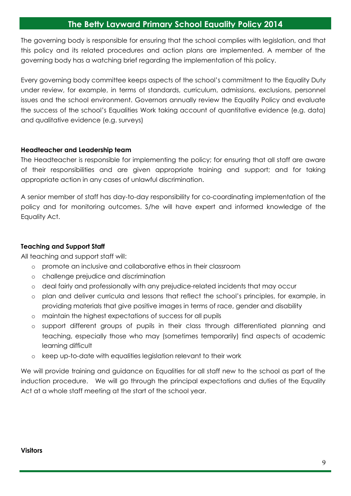The governing body is responsible for ensuring that the school complies with legislation, and that this policy and its related procedures and action plans are implemented. A member of the governing body has a watching brief regarding the implementation of this policy.

Every governing body committee keeps aspects of the school's commitment to the Equality Duty under review, for example, in terms of standards, curriculum, admissions, exclusions, personnel issues and the school environment. Governors annually review the Equality Policy and evaluate the success of the school's Equalities Work taking account of quantitative evidence (e.g. data) and qualitative evidence (e.g. surveys)

#### **Headteacher and Leadership team**

The Headteacher is responsible for implementing the policy; for ensuring that all staff are aware of their responsibilities and are given appropriate training and support; and for taking appropriate action in any cases of unlawful discrimination.

A senior member of staff has day-to-day responsibility for co-coordinating implementation of the policy and for monitoring outcomes. S/he will have expert and informed knowledge of the Equality Act.

#### **Teaching and Support Staff**

All teaching and support staff will:

- o promote an inclusive and collaborative ethos in their classroom
- o challenge prejudice and discrimination
- o deal fairly and professionally with any prejudice-related incidents that may occur
- o plan and deliver curricula and lessons that reflect the school's principles, for example, in providing materials that give positive images in terms of race, gender and disability
- o maintain the highest expectations of success for all pupils
- o support different groups of pupils in their class through differentiated planning and teaching, especially those who may (sometimes temporarily) find aspects of academic learning difficult
- o keep up-to-date with equalities legislation relevant to their work

We will provide training and guidance on Equalities for all staff new to the school as part of the induction procedure. We will go through the principal expectations and duties of the Equality Act at a whole staff meeting at the start of the school year.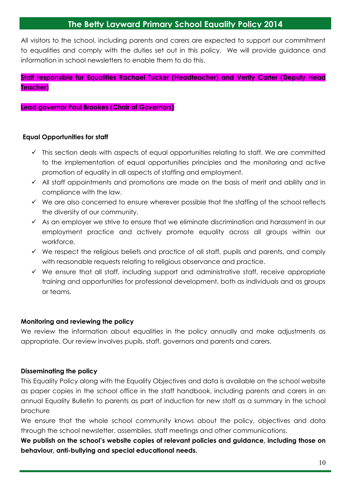All visitors to the school, including parents and carers are expected to support our commitment to equalities and comply with the duties set out in this policy. We will provide guidance and information in school newsletters to enable them to do this.

## **Staff responsible for Equalities Rachael Tucker (Headteacher) and Verity Carter (Deputy Head Teacher)**

#### **Lead governor Paul Brookes (Chair of Governors)**

#### **Equal Opportunities for staff**

- $\checkmark$  This section deals with aspects of equal opportunities relating to staff. We are committed to the implementation of equal opportunities principles and the monitoring and active promotion of equality in all aspects of staffing and employment.
- $\checkmark$  All staff appointments and promotions are made on the basis of merit and ability and in compliance with the law.
- $\checkmark$  We are also concerned to ensure wherever possible that the staffing of the school reflects the diversity of our community.
- $\checkmark$  As an employer we strive to ensure that we eliminate discrimination and harassment in our employment practice and actively promote equality across all groups within our workforce.
- $\checkmark$  We respect the religious beliefs and practice of all staff, pupils and parents, and comply with reasonable requests relating to religious observance and practice.
- $\checkmark$  We ensure that all staff, including support and administrative staff, receive appropriate training and opportunities for professional development, both as individuals and as groups or teams.

#### **Monitoring and reviewing the policy**

We review the information about equalities in the policy annually and make adjustments as appropriate. Our review involves pupils, staff, governors and parents and carers.

#### **Disseminating the policy**

This Equality Policy along with the Equality Objectives and data is available on the school website as paper copies in the school office in the staff handbook, including parents and carers in an annual Equality Bulletin to parents as part of induction for new staff as a summary in the school brochure

We ensure that the whole school community knows about the policy, objectives and data through the school newsletter, assemblies, staff meetings and other communications.

**We publish on the school's website copies of relevant policies and guidance, including those on behaviour, anti-bullying and special educational needs.**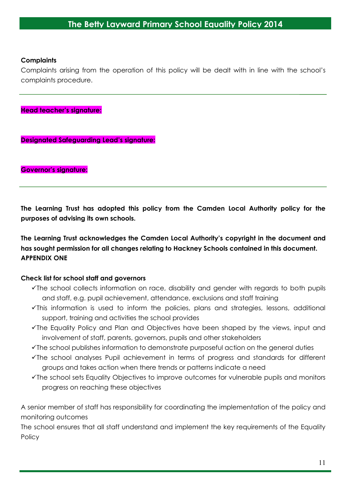#### **Complaints**

Complaints arising from the operation of this policy will be dealt with in line with the school's complaints procedure.

**Head teacher's signature:**

**Designated Safeguarding Lead's signature:**

**Governor's signature:**

**The Learning Trust has adopted this policy from the Camden Local Authority policy for the purposes of advising its own schools.**

**The Learning Trust acknowledges the Camden Local Authority's copyright in the document and has sought permission for all changes relating to Hackney Schools contained in this document. APPENDIX ONE** 

#### **Check list for school staff and governors**

- The school collects information on race, disability and gender with regards to both pupils and staff, e.g. pupil achievement, attendance, exclusions and staff training
- $\checkmark$ This information is used to inform the policies, plans and strategies, lessons, additional support, training and activities the school provides
- The Equality Policy and Plan and Objectives have been shaped by the views, input and involvement of staff, parents, governors, pupils and other stakeholders
- The school publishes information to demonstrate purposeful action on the general duties
- The school analyses Pupil achievement in terms of progress and standards for different groups and takes action when there trends or patterns indicate a need
- The school sets Equality Objectives to improve outcomes for vulnerable pupils and monitors progress on reaching these objectives

A senior member of staff has responsibility for coordinating the implementation of the policy and monitoring outcomes

The school ensures that all staff understand and implement the key requirements of the Equality **Policy**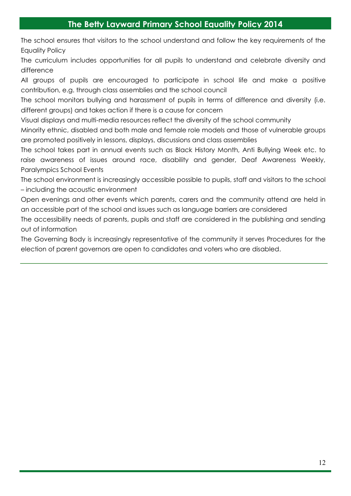The school ensures that visitors to the school understand and follow the key requirements of the Equality Policy

The curriculum includes opportunities for all pupils to understand and celebrate diversity and difference

All groups of pupils are encouraged to participate in school life and make a positive contribution, e.g. through class assemblies and the school council

The school monitors bullying and harassment of pupils in terms of difference and diversity (i.e. different groups) and takes action if there is a cause for concern

Visual displays and multi-media resources reflect the diversity of the school community

Minority ethnic, disabled and both male and female role models and those of vulnerable groups are promoted positively in lessons, displays, discussions and class assemblies

The school takes part in annual events such as Black History Month, Anti Bullying Week etc. to raise awareness of issues around race, disability and gender, Deaf Awareness Weekly, Paralympics School Events

The school environment is increasingly accessible possible to pupils, staff and visitors to the school – including the acoustic environment

Open evenings and other events which parents, carers and the community attend are held in an accessible part of the school and issues such as language barriers are considered

The accessibility needs of parents, pupils and staff are considered in the publishing and sending out of information

The Governing Body is increasingly representative of the community it serves Procedures for the election of parent governors are open to candidates and voters who are disabled.